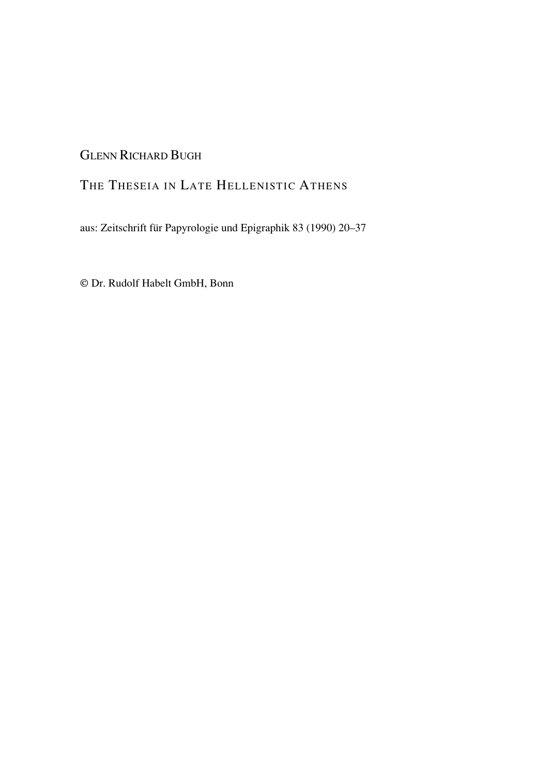# GLENN RICHARD BUGH

## THE THESEIA IN LATE HELLENISTIC ATHENS

aus: Zeitschrift für Papyrologie und Epigraphik 83 (1990) 20–37

© Dr. Rudolf Habelt GmbH, Bonn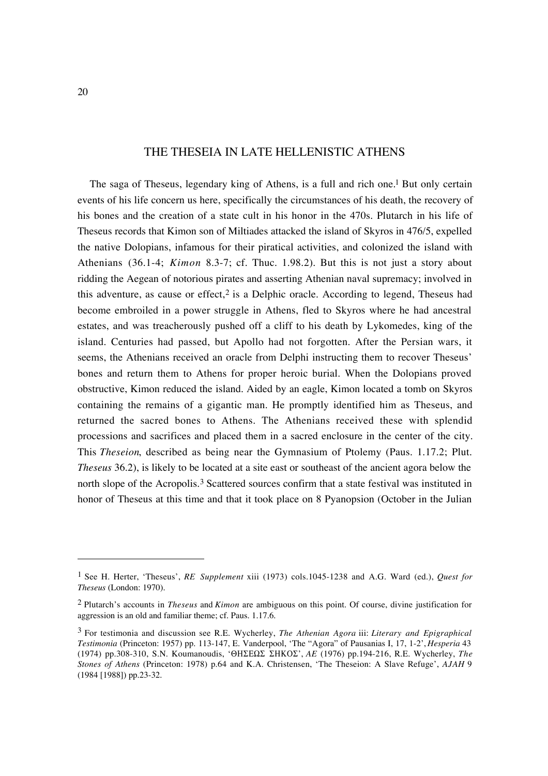### THE THESEIA IN LATE HELLENISTIC ATHENS

The saga of Theseus, legendary king of Athens, is a full and rich one.<sup>1</sup> But only certain events of his life concern us here, specifically the circumstances of his death, the recovery of his bones and the creation of a state cult in his honor in the 470s. Plutarch in his life of Theseus records that Kimon son of Miltiades attacked the island of Skyros in 476/5, expelled the native Dolopians, infamous for their piratical activities, and colonized the island with Athenians (36.1-4; *Kimon* 8.3-7; cf. Thuc. 1.98.2). But this is not just a story about ridding the Aegean of notorious pirates and asserting Athenian naval supremacy; involved in this adventure, as cause or effect,<sup>2</sup> is a Delphic oracle. According to legend, Theseus had become embroiled in a power struggle in Athens, fled to Skyros where he had ancestral estates, and was treacherously pushed off a cliff to his death by Lykomedes, king of the island. Centuries had passed, but Apollo had not forgotten. After the Persian wars, it seems, the Athenians received an oracle from Delphi instructing them to recover Theseus' bones and return them to Athens for proper heroic burial. When the Dolopians proved obstructive, Kimon reduced the island. Aided by an eagle, Kimon located a tomb on Skyros containing the remains of a gigantic man. He promptly identified him as Theseus, and returned the sacred bones to Athens. The Athenians received these with splendid processions and sacrifices and placed them in a sacred enclosure in the center of the city. This *Theseion*, described as being near the Gymnasium of Ptolemy (Paus. 1.17.2; Plut. *Theseus* 36.2), is likely to be located at a site east or southeast of the ancient agora below the north slope of the Acropolis.<sup>3</sup> Scattered sources confirm that a state festival was instituted in honor of Theseus at this time and that it took place on 8 Pyanopsion (October in the Julian

<sup>1</sup> See H. Herter, 'Theseus', *RE Supplement* xiii (1973) cols.1045-1238 and A.G. Ward (ed.), *Quest for Theseus* (London: 1970).

<sup>2</sup> Plutarch's accounts in *Theseus* and *Kimon* are ambiguous on this point. Of course, divine justification for aggression is an old and familiar theme; cf. Paus. 1.17.6.

<sup>3</sup> For testimonia and discussion see R.E. Wycherley, *The Athenian Agora* iii: *Literary and Epigraphical Testimonia* (Princeton: 1957) pp. 113-147, E. Vanderpool, 'The "Agora" of Pausanias I, 17, 1-2', *Hesperia* 43 (1974) pp.308-310, S.N. Koumanoudis, ' $\Theta$ H $\Sigma$ E $\Omega$  $\Sigma$   $\Sigma$ HKO $\Sigma'$ , *AE* (1976) pp.194-216, R.E. Wycherley, *The Stones of Athens* (Princeton: 1978) p.64 and K.A. Christensen, 'The Theseion: A Slave Refuge', *AJAH* 9 (1984 [1988]) pp.23-32.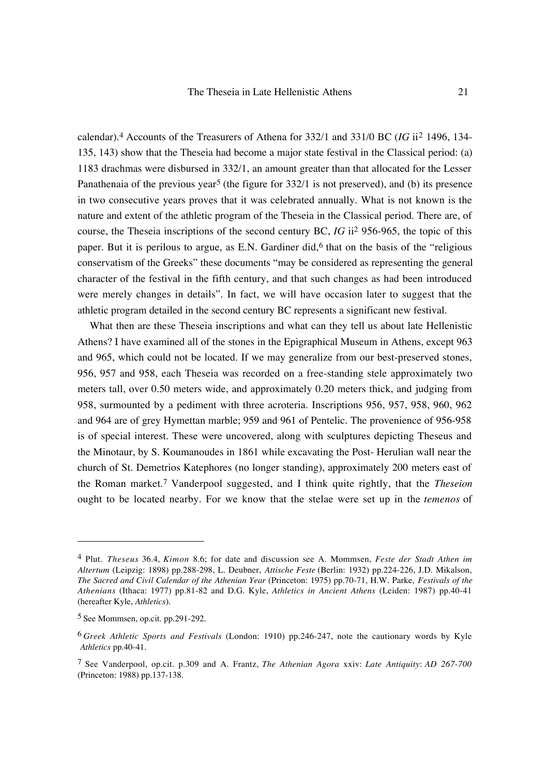calendar).4 Accounts of the Treasurers of Athena for 332/1 and 331/0 BC (*IG* ii2 1496, 134- 135, 143) show that the Theseia had become a major state festival in the Classical period: (a) 1183 drachmas were disbursed in 332/1, an amount greater than that allocated for the Lesser Panathenaia of the previous year<sup>5</sup> (the figure for  $332/1$  is not preserved), and (b) its presence in two consecutive years proves that it was celebrated annually. What is not known is the nature and extent of the athletic program of the Theseia in the Classical period. There are, of course, the Theseia inscriptions of the second century BC, *IG* ii2 956-965, the topic of this paper. But it is perilous to argue, as E.N. Gardiner did,<sup>6</sup> that on the basis of the "religious" conservatism of the Greeks" these documents "may be considered as representing the general character of the festival in the fifth century, and that such changes as had been introduced were merely changes in details". In fact, we will have occasion later to suggest that the athletic program detailed in the second century BC represents a significant new festival.

What then are these Theseia inscriptions and what can they tell us about late Hellenistic Athens? I have examined all of the stones in the Epigraphical Museum in Athens, except 963 and 965, which could not be located. If we may generalize from our best-preserved stones, 956, 957 and 958, each Theseia was recorded on a free-standing stele approximately two meters tall, over 0.50 meters wide, and approximately 0.20 meters thick, and judging from 958, surmounted by a pediment with three acroteria. Inscriptions 956, 957, 958, 960, 962 and 964 are of grey Hymettan marble; 959 and 961 of Pentelic. The provenience of 956-958 is of special interest. These were uncovered, along with sculptures depicting Theseus and the Minotaur, by S. Koumanoudes in 1861 while excavating the Post- Herulian wall near the church of St. Demetrios Katephores (no longer standing), approximately 200 meters east of the Roman market.7 Vanderpool suggested, and I think quite rightly, that the *Theseion* ought to be located nearby. For we know that the stelae were set up in the *temenos* of

<sup>4</sup> Plut. *Theseus* 36.4, *Kimon* 8.6; for date and discussion see A. Mommsen, *Feste der Stadt Athen im Altertum* (Leipzig: 1898) pp.288-298, L. Deubner, *Attische Feste* (Berlin: 1932) pp.224-226, J.D. Mikalson, *The Sacred and Civil Calendar of the Athenian Year* (Princeton: 1975) pp.70-71, H.W. Parke, *Festivals of the Athenians* (Ithaca: 1977) pp.81-82 and D.G. Kyle, *Athletics in Ancient Athens* (Leiden: 1987) pp.40-41 (hereafter Kyle, *Athletics*).

<sup>5</sup> See Mommsen, op.cit. pp.291-292.

<sup>6</sup> *Greek Athletic Sports and Festivals* (London: 1910) pp.246-247, note the cautionary words by Kyle *Athletics* pp.40-41.

<sup>7</sup> See Vanderpool, op.cit. p.309 and A. Frantz, *The Athenian Agora* xxiv: *Late Antiquity*: *AD 267-700* (Princeton: 1988) pp.137-138.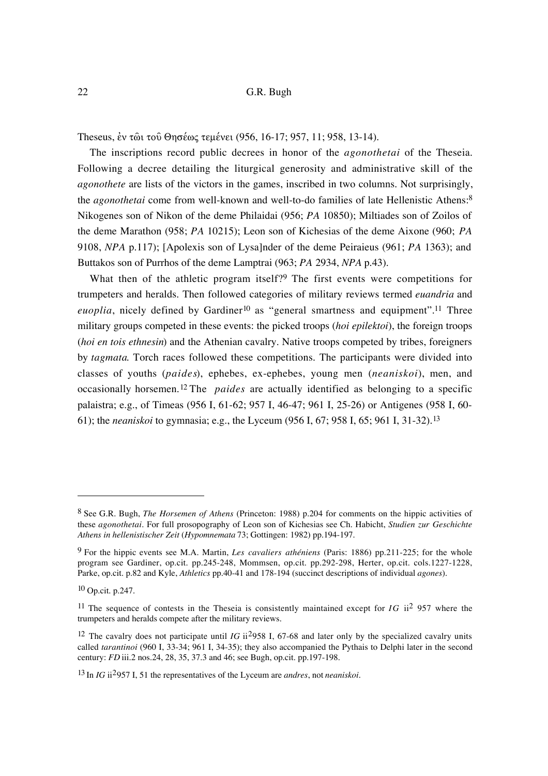Theseus, έν τως του Θησέως τεμένει (956, 16-17; 957, 11; 958, 13-14).

The inscriptions record public decrees in honor of the *agonothetai* of the Theseia. Following a decree detailing the liturgical generosity and administrative skill of the *agonothete* are lists of the victors in the games, inscribed in two columns. Not surprisingly, the *agonothetai* come from well-known and well-to-do families of late Hellenistic Athens:8 Nikogenes son of Nikon of the deme Philaidai (956; *PA* 10850); Miltiades son of Zoilos of the deme Marathon (958; *PA* 10215); Leon son of Kichesias of the deme Aixone (960; *PA* 9108, *NPA* p.117); [Apolexis son of Lysa]nder of the deme Peiraieus (961; *PA* 1363); and Buttakos son of Purrhos of the deme Lamptrai (963; *PA* 2934, *NPA* p.43).

What then of the athletic program itself?<sup>9</sup> The first events were competitions for trumpeters and heralds. Then followed categories of military reviews termed *euandria* and *euoplia*, nicely defined by Gardiner<sup>10</sup> as "general smartness and equipment".<sup>11</sup> Three military groups competed in these events: the picked troops (*hoi epilektoi*), the foreign troops (*hoi en tois ethnesin*) and the Athenian cavalry. Native troops competed by tribes, foreigners by *tagmata*. Torch races followed these competitions. The participants were divided into classes of youths (*paides*), ephebes, ex-ephebes, young men (*neaniskoi*), men, and occasionally horsemen.12 The *paides* are actually identified as belonging to a specific palaistra; e.g., of Timeas (956 I, 61-62; 957 I, 46-47; 961 I, 25-26) or Antigenes (958 I, 60- 61); the *neaniskoi* to gymnasia; e.g., the Lyceum (956 I, 67; 958 I, 65; 961 I, 31-32).13

<sup>8</sup> See G.R. Bugh, *The Horsemen of Athens* (Princeton: 1988) p.204 for comments on the hippic activities of these *agonothetai*. For full prosopography of Leon son of Kichesias see Ch. Habicht, *Studien zur Geschichte Athens in hellenistischer Zeit* (*Hypomnemata* 73; Gottingen: 1982) pp.194-197.

<sup>9</sup> For the hippic events see M.A. Martin, *Les cavaliers athéniens* (Paris: 1886) pp.211-225; for the whole program see Gardiner, op.cit. pp.245-248, Mommsen, op.cit. pp.292-298, Herter, op.cit. cols.1227-1228, Parke, op.cit. p.82 and Kyle, *Athletics* pp.40-41 and 178-194 (succinct descriptions of individual *agones*).

<sup>10</sup> Op.cit. p.247.

<sup>11</sup> The sequence of contests in the Theseia is consistently maintained except for *IG* ii2 957 where the trumpeters and heralds compete after the military reviews.

<sup>12</sup> The cavalry does not participate until *IG* ii2958 I, 67-68 and later only by the specialized cavalry units called *tarantinoi* (960 I, 33-34; 961 I, 34-35); they also accompanied the Pythais to Delphi later in the second century: *FD* iii.2 nos.24, 28, 35, 37.3 and 46; see Bugh, op.cit. pp.197-198.

<sup>13</sup> In *IG* ii2957 I, 51 the representatives of the Lyceum are *andres*, not *neaniskoi*.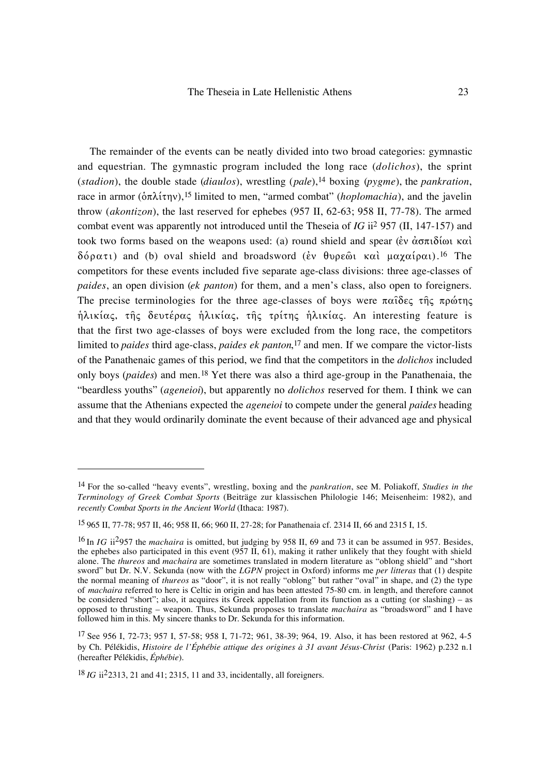The remainder of the events can be neatly divided into two broad categories: gymnastic and equestrian. The gymnastic program included the long race (*dolichos*), the sprint (*stadion*), the double stade (*diaulos*), wrestling (*pale*),14 boxing (*pygme*), the *pankration*, race in armor ( $\delta \pi \lambda i \tau \eta v$ ),<sup>15</sup> limited to men, "armed combat" (*hoplomachia*), and the javelin throw (*akontizon*), the last reserved for ephebes (957 II, 62-63; 958 II, 77-78). The armed combat event was apparently not introduced until the Theseia of *IG* ii2 957 (II, 147-157) and took two forms based on the weapons used: (a) round shield and spear ( $\dot{\epsilon}v \dot{\alpha} \sigma \pi i \delta \dot{\omega} \tau$  $\delta\acute{o}$  p $\alpha\tau$ <sub>1</sub>) and (b) oval shield and broadsword (*έν* θυρεῶι καὶ μαχαίραι).<sup>16</sup> The competitors for these events included five separate age-class divisions: three age-classes of *paides*, an open division (*ek panton*) for them, and a men's class, also open to foreigners. The precise terminologies for the three age-classes of boys were  $\pi\alpha\hat{\iota}\delta\varepsilon\varsigma$   $\tau\hat{\eta}\varsigma$   $\pi\rho\omega\tau\eta\varsigma$ hλικίας, της δευτέρας ηλικίας, της τρίτης ηλικίας. An interesting feature is that the first two age-classes of boys were excluded from the long race, the competitors limited to *paides* third age-class, *paides ek panton*,17 and men. If we compare the victor-lists of the Panathenaic games of this period, we find that the competitors in the *dolichos* included only boys (*paides*) and men.18 Yet there was also a third age-group in the Panathenaia, the "beardless youths" (*ageneioi*), but apparently no *dolichos* reserved for them. I think we can assume that the Athenians expected the *ageneioi* to compete under the general *paides* heading and that they would ordinarily dominate the event because of their advanced age and physical

<sup>14</sup> For the so-called "heavy events", wrestling, boxing and the *pankration*, see M. Poliakoff, *Studies in the Terminology of Greek Combat Sports* (Beiträge zur klassischen Philologie 146; Meisenheim: 1982), and *recently Combat Sports in the Ancient World* (Ithaca: 1987).

<sup>15 965</sup> II, 77-78; 957 II, 46; 958 II, 66; 960 II, 27-28; for Panathenaia cf. 2314 II, 66 and 2315 I, 15.

<sup>16</sup> In *IG* ii2957 the *machaira* is omitted, but judging by 958 II, 69 and 73 it can be assumed in 957. Besides, the ephebes also participated in this event  $(957 \tilde{II}, 61)$ , making it rather unlikely that they fought with shield alone. The *thureos* and *machaira* are sometimes translated in modern literature as "oblong shield" and "short sword" but Dr. N.V. Sekunda (now with the *LGPN* project in Oxford) informs me *per litteras* that (1) despite the normal meaning of *thureos* as "door", it is not really "oblong" but rather "oval" in shape, and (2) the type of *machaira* referred to here is Celtic in origin and has been attested 75-80 cm. in length, and therefore cannot be considered "short"; also, it acquires its Greek appellation from its function as a cutting (or slashing) – as opposed to thrusting – weapon. Thus, Sekunda proposes to translate *machaira* as "broadsword" and I have followed him in this. My sincere thanks to Dr. Sekunda for this information.

<sup>17</sup> See 956 I, 72-73; 957 I, 57-58; 958 I, 71-72; 961, 38-39; 964, 19. Also, it has been restored at 962, 4-5 by Ch. Pélékidis, *Histoire de l'Éphébie attique des origines à 31 avant Jésus-Christ* (Paris: 1962) p.232 n.1 (hereafter Pélékidis, *Éphébie*).

<sup>18</sup> *IG* ii22313, 21 and 41; 2315, 11 and 33, incidentally, all foreigners.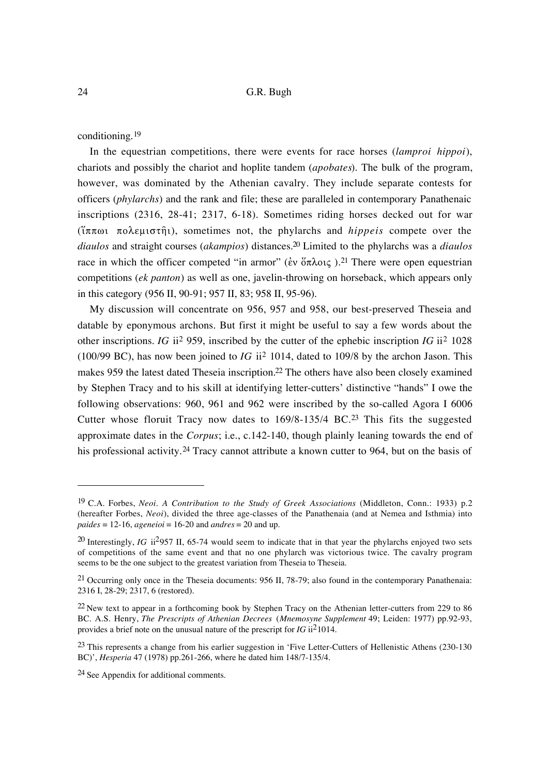conditioning.19

In the equestrian competitions, there were events for race horses (*lamproi hippoi*), chariots and possibly the chariot and hoplite tandem (*apobates*). The bulk of the program, however, was dominated by the Athenian cavalry. They include separate contests for officers (*phylarchs*) and the rank and file; these are paralleled in contemporary Panathenaic inscriptions (2316, 28-41; 2317, 6-18). Sometimes riding horses decked out for war  $($ <del>iππωι</del> πολεμιστῆι), sometimes not, the phylarchs and *hippeis* compete over the *diaulos* and straight courses (*akampios*) distances.20 Limited to the phylarchs was a *diaulos* race in which the officer competed "in armor" ( $\acute{\text{e}}v$   $\acute{\text{e}}\pi\lambda \text{O}(\zeta)$ ).<sup>21</sup> There were open equestrian competitions (*ek panton*) as well as one, javelin-throwing on horseback, which appears only in this category (956 II, 90-91; 957 II, 83; 958 II, 95-96).

My discussion will concentrate on 956, 957 and 958, our best-preserved Theseia and datable by eponymous archons. But first it might be useful to say a few words about the other inscriptions. *IG* ii2 959, inscribed by the cutter of the ephebic inscription *IG* ii2 1028 (100/99 BC), has now been joined to *IG* ii2 1014, dated to 109/8 by the archon Jason. This makes 959 the latest dated Theseia inscription.22 The others have also been closely examined by Stephen Tracy and to his skill at identifying letter-cutters' distinctive "hands" I owe the following observations: 960, 961 and 962 were inscribed by the so-called Agora I 6006 Cutter whose floruit Tracy now dates to  $169/8-135/4$  BC.<sup>23</sup> This fits the suggested approximate dates in the *Corpus*; i.e., c.142-140, though plainly leaning towards the end of his professional activity.<sup>24</sup> Tracy cannot attribute a known cutter to 964, but on the basis of

<sup>19</sup> C.A. Forbes, *Neoi. A Contribution to the Study of Greek Associations* (Middleton, Conn.: 1933) p.2 (hereafter Forbes, *Neoi*), divided the three age-classes of the Panathenaia (and at Nemea and Isthmia) into  $paides = 12-16$ ,  $ageneioi = 16-20$  and  $andres = 20$  and up.

<sup>&</sup>lt;sup>20</sup> Interestingly, *IG* ii<sup>2</sup>957 II, 65-74 would seem to indicate that in that year the phylarchs enjoyed two sets of competitions of the same event and that no one phylarch was victorious twice. The cavalry program seems to be the one subject to the greatest variation from Theseia to Theseia.

<sup>21</sup> Occurring only once in the Theseia documents: 956 II, 78-79; also found in the contemporary Panathenaia: 2316 I, 28-29; 2317, 6 (restored).

<sup>22</sup> New text to appear in a forthcoming book by Stephen Tracy on the Athenian letter-cutters from 229 to 86 BC. A.S. Henry, *The Prescripts of Athenian Decrees* (*Mnemosyne Supplement* 49; Leiden: 1977) pp.92-93, provides a brief note on the unusual nature of the prescript for *IG* ii21014.

<sup>&</sup>lt;sup>23</sup> This represents a change from his earlier suggestion in 'Five Letter-Cutters of Hellenistic Athens (230-130) BC)', *Hesperia* 47 (1978) pp.261-266, where he dated him 148/7-135/4.

<sup>24</sup> See Appendix for additional comments.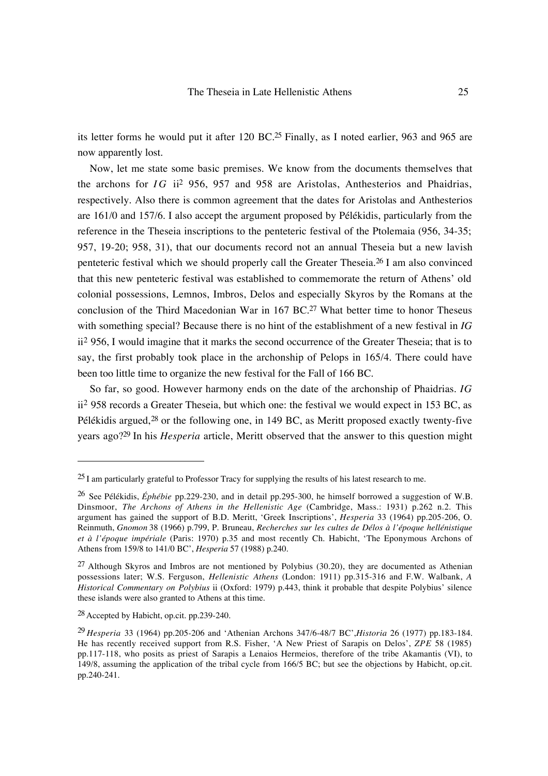its letter forms he would put it after 120 BC.25 Finally, as I noted earlier, 963 and 965 are now apparently lost.

Now, let me state some basic premises. We know from the documents themselves that the archons for  $IG$  ii<sup>2</sup> 956, 957 and 958 are Aristolas, Anthesterios and Phaidrias, respectively. Also there is common agreement that the dates for Aristolas and Anthesterios are 161/0 and 157/6. I also accept the argument proposed by Pélékidis, particularly from the reference in the Theseia inscriptions to the penteteric festival of the Ptolemaia (956, 34-35; 957, 19-20; 958, 31), that our documents record not an annual Theseia but a new lavish penteteric festival which we should properly call the Greater Theseia.26 I am also convinced that this new penteteric festival was established to commemorate the return of Athens' old colonial possessions, Lemnos, Imbros, Delos and especially Skyros by the Romans at the conclusion of the Third Macedonian War in  $167$  BC.<sup>27</sup> What better time to honor Theseus with something special? Because there is no hint of the establishment of a new festival in *IG* ii2 956, I would imagine that it marks the second occurrence of the Greater Theseia; that is to say, the first probably took place in the archonship of Pelops in 165/4. There could have been too little time to organize the new festival for the Fall of 166 BC.

So far, so good. However harmony ends on the date of the archonship of Phaidrias. *IG* ii2 958 records a Greater Theseia, but which one: the festival we would expect in 153 BC, as Pélékidis argued, $^{28}$  or the following one, in 149 BC, as Meritt proposed exactly twenty-five years ago?29 In his *Hesperia* article, Meritt observed that the answer to this question might

<sup>25</sup> I am particularly grateful to Professor Tracy for supplying the results of his latest research to me.

<sup>26</sup> See Pélékidis, *Éphébie* pp.229-230, and in detail pp.295-300, he himself borrowed a suggestion of W.B. Dinsmoor, *The Archons of Athens in the Hellenistic Age* (Cambridge, Mass.: 1931) p.262 n.2. This argument has gained the support of B.D. Meritt, 'Greek Inscriptions', *Hesperia* 33 (1964) pp.205-206, O. Reinmuth, *Gnomon* 38 (1966) p.799, P. Bruneau, *Recherches sur les cultes de Délos à l'époque hellénistique et à l'époque impériale* (Paris: 1970) p.35 and most recently Ch. Habicht, 'The Eponymous Archons of Athens from 159/8 to 141/0 BC', *Hesperia* 57 (1988) p.240.

<sup>&</sup>lt;sup>27</sup> Although Skyros and Imbros are not mentioned by Polybius  $(30.20)$ , they are documented as Athenian possessions later; W.S. Ferguson, *Hellenistic Athens* (London: 1911) pp.315-316 and F.W. Walbank, *A Historical Commentary on Polybius* ii (Oxford: 1979) p.443, think it probable that despite Polybius' silence these islands were also granted to Athens at this time.

<sup>28</sup> Accepted by Habicht, op.cit. pp.239-240.

<sup>29</sup> *Hesperia* 33 (1964) pp.205-206 and 'Athenian Archons 347/6-48/7 BC',*Historia* 26 (1977) pp.183-184. He has recently received support from R.S. Fisher, 'A New Priest of Sarapis on Delos', *ZPE* 58 (1985) pp.117-118, who posits as priest of Sarapis a Lenaios Hermeios, therefore of the tribe Akamantis (VI), to 149/8, assuming the application of the tribal cycle from 166/5 BC; but see the objections by Habicht, op.cit. pp.240-241.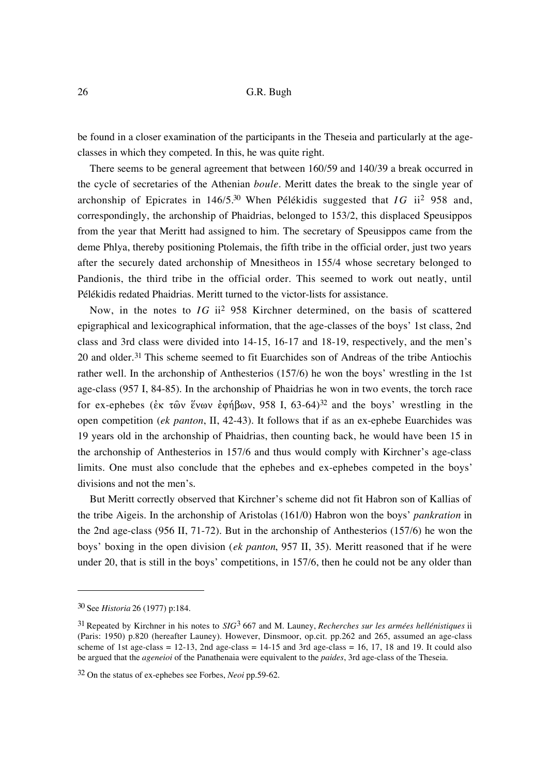be found in a closer examination of the participants in the Theseia and particularly at the ageclasses in which they competed. In this, he was quite right.

There seems to be general agreement that between 160/59 and 140/39 a break occurred in the cycle of secretaries of the Athenian *boule*. Meritt dates the break to the single year of archonship of Epicrates in 146/5.30 When Pélékidis suggested that *I G* ii2 958 and, correspondingly, the archonship of Phaidrias, belonged to 153/2, this displaced Speusippos from the year that Meritt had assigned to him. The secretary of Speusippos came from the deme Phlya, thereby positioning Ptolemais, the fifth tribe in the official order, just two years after the securely dated archonship of Mnesitheos in 155/4 whose secretary belonged to Pandionis, the third tribe in the official order. This seemed to work out neatly, until Pélékidis redated Phaidrias. Meritt turned to the victor-lists for assistance.

Now, in the notes to *IG* ii2 958 Kirchner determined, on the basis of scattered epigraphical and lexicographical information, that the age-classes of the boys' 1st class, 2nd class and 3rd class were divided into 14-15, 16-17 and 18-19, respectively, and the men's 20 and older.<sup>31</sup> This scheme seemed to fit Euarchides son of Andreas of the tribe Antiochis rather well. In the archonship of Anthesterios (157/6) he won the boys' wrestling in the 1st age-class (957 I, 84-85). In the archonship of Phaidrias he won in two events, the torch race for ex-ephebes ( $\epsilon \kappa \tau \hat{\omega}$ ν ένων  $\epsilon \varphi$ ήβων, 958 I, 63-64)<sup>32</sup> and the boys' wrestling in the open competition (*ek panton*, II, 42-43). It follows that if as an ex-ephebe Euarchides was 19 years old in the archonship of Phaidrias, then counting back, he would have been 15 in the archonship of Anthesterios in 157/6 and thus would comply with Kirchner's age-class limits. One must also conclude that the ephebes and ex-ephebes competed in the boys' divisions and not the men's.

But Meritt correctly observed that Kirchner's scheme did not fit Habron son of Kallias of the tribe Aigeis. In the archonship of Aristolas (161/0) Habron won the boys' *pankration* in the 2nd age-class (956 II, 71-72). But in the archonship of Anthesterios (157/6) he won the boys' boxing in the open division (*ek panton*, 957 II, 35). Meritt reasoned that if he were under 20, that is still in the boys' competitions, in 157/6, then he could not be any older than

<sup>30</sup> See *Historia* 26 (1977) p:184.

<sup>31</sup> Repeated by Kirchner in his notes to *SIG*3 667 and M. Launey, *Recherches sur les armées hellénistiques* ii (Paris: 1950) p.820 (hereafter Launey). However, Dinsmoor, op.cit. pp.262 and 265, assumed an age-class scheme of 1st age-class  $= 12-13$ , 2nd age-class  $= 14-15$  and 3rd age-class  $= 16, 17, 18$  and 19. It could also be argued that the *ageneioi* of the Panathenaia were equivalent to the *paides*, 3rd age-class of the Theseia.

<sup>32</sup> On the status of ex-ephebes see Forbes, *Neoi* pp.59-62.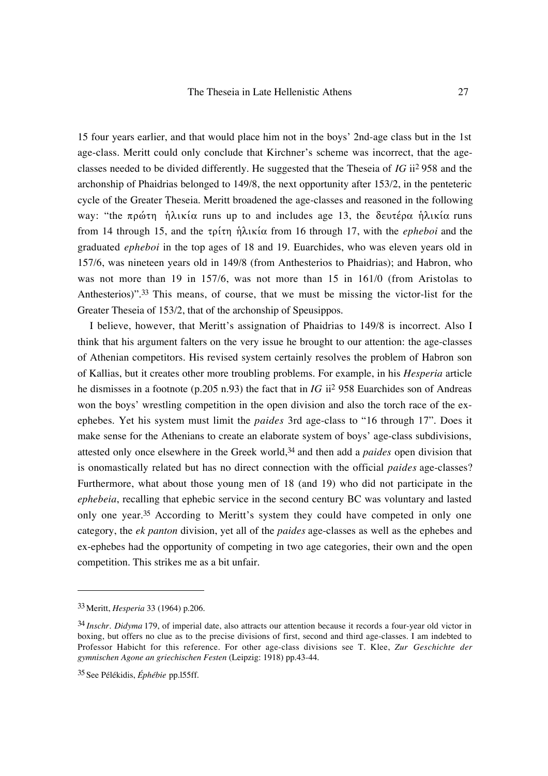15 four years earlier, and that would place him not in the boys' 2nd-age class but in the 1st age-class. Meritt could only conclude that Kirchner's scheme was incorrect, that the ageclasses needed to be divided differently. He suggested that the Theseia of *IG* ii2 958 and the archonship of Phaidrias belonged to 149/8, the next opportunity after 153/2, in the penteteric cycle of the Greater Theseia. Meritt broadened the age-classes and reasoned in the following way: "the  $\pi \rho \omega \tau \eta$  ήλικία runs up to and includes age 13, the δευτέρα ήλικία runs from 14 through 15, and the τρίτη ήλικία from 16 through 17, with the *epheboi* and the graduated *epheboi* in the top ages of 18 and 19. Euarchides, who was eleven years old in 157/6, was nineteen years old in 149/8 (from Anthesterios to Phaidrias); and Habron, who was not more than 19 in 157/6, was not more than 15 in 161/0 (from Aristolas to Anthesterios)".33 This means, of course, that we must be missing the victor-list for the Greater Theseia of 153/2, that of the archonship of Speusippos.

I believe, however, that Meritt's assignation of Phaidrias to 149/8 is incorrect. Also I think that his argument falters on the very issue he brought to our attention: the age-classes of Athenian competitors. His revised system certainly resolves the problem of Habron son of Kallias, but it creates other more troubling problems. For example, in his *Hesperia* article he dismisses in a footnote (p.205 n.93) the fact that in *IG* ii2 958 Euarchides son of Andreas won the boys' wrestling competition in the open division and also the torch race of the exephebes. Yet his system must limit the *paides* 3rd age-class to "16 through 17". Does it make sense for the Athenians to create an elaborate system of boys' age-class subdivisions, attested only once elsewhere in the Greek world,34 and then add a *paides* open division that is onomastically related but has no direct connection with the official *paides* age-classes? Furthermore, what about those young men of 18 (and 19) who did not participate in the *ephebeia*, recalling that ephebic service in the second century BC was voluntary and lasted only one year.<sup>35</sup> According to Meritt's system they could have competed in only one category, the *ek panton* division, yet all of the *paides* age-classes as well as the ephebes and ex-ephebes had the opportunity of competing in two age categories, their own and the open competition. This strikes me as a bit unfair.

<sup>33</sup> Meritt, *Hesperia* 33 (1964) p.206.

<sup>34</sup> *Inschr. Didyma* 179, of imperial date, also attracts our attention because it records a four-year old victor in boxing, but offers no clue as to the precise divisions of first, second and third age-classes. I am indebted to Professor Habicht for this reference. For other age-class divisions see T. Klee, *Zur Geschichte der gymnischen Agone an griechischen Festen* (Leipzig: 1918) pp.43-44.

<sup>35</sup> See Pélékidis, *Éphébie* pp.l55ff.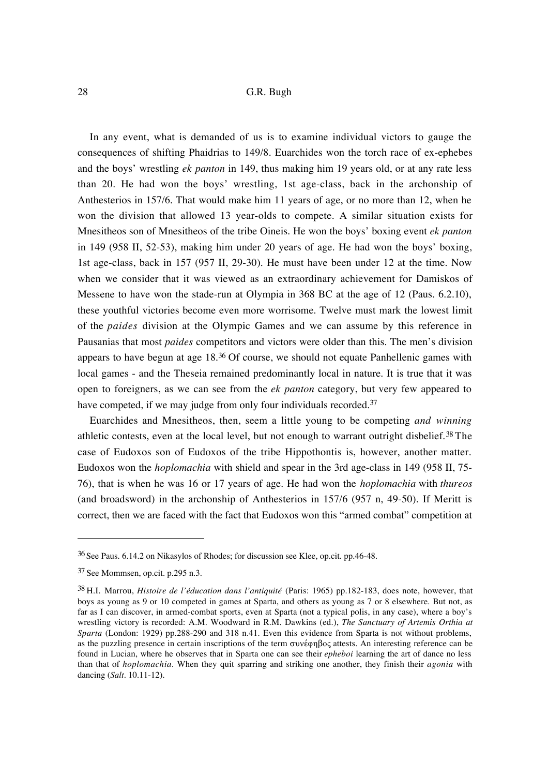In any event, what is demanded of us is to examine individual victors to gauge the consequences of shifting Phaidrias to 149/8. Euarchides won the torch race of ex-ephebes and the boys' wrestling *ek panton* in 149, thus making him 19 years old, or at any rate less than 20. He had won the boys' wrestling, 1st age-class, back in the archonship of Anthesterios in 157/6. That would make him 11 years of age, or no more than 12, when he won the division that allowed 13 year-olds to compete. A similar situation exists for Mnesitheos son of Mnesitheos of the tribe Oineis. He won the boys' boxing event *ek panton* in 149 (958 II, 52-53), making him under 20 years of age. He had won the boys' boxing, 1st age-class, back in 157 (957 II, 29-30). He must have been under 12 at the time. Now when we consider that it was viewed as an extraordinary achievement for Damiskos of Messene to have won the stade-run at Olympia in 368 BC at the age of 12 (Paus. 6.2.10), these youthful victories become even more worrisome. Twelve must mark the lowest limit of the *paides* division at the Olympic Games and we can assume by this reference in Pausanias that most *paides* competitors and victors were older than this. The men's division appears to have begun at age 18.36 Of course, we should not equate Panhellenic games with local games - and the Theseia remained predominantly local in nature. It is true that it was open to foreigners, as we can see from the *ek panton* category, but very few appeared to have competed, if we may judge from only four individuals recorded.<sup>37</sup>

Euarchides and Mnesitheos, then, seem a little young to be competing *and winning* athletic contests, even at the local level, but not enough to warrant outright disbelief.38 The case of Eudoxos son of Eudoxos of the tribe Hippothontis is, however, another matter. Eudoxos won the *hoplomachia* with shield and spear in the 3rd age-class in 149 (958 II, 75- 76), that is when he was 16 or 17 years of age. He had won the *hoplomachia* with *thureos* (and broadsword) in the archonship of Anthesterios in 157/6 (957 n, 49-50). If Meritt is correct, then we are faced with the fact that Eudoxos won this "armed combat" competition at

<sup>36</sup> See Paus. 6.14.2 on Nikasylos of Rhodes; for discussion see Klee, op.cit. pp.46-48.

<sup>37</sup> See Mommsen, op.cit. p.295 n.3.

<sup>38</sup> H.I. Marrou, *Histoire de l'éducation dans l'antiquité* (Paris: 1965) pp.182-183, does note, however, that boys as young as 9 or 10 competed in games at Sparta, and others as young as 7 or 8 elsewhere. But not, as far as I can discover, in armed-combat sports, even at Sparta (not a typical polis, in any case), where a boy's wrestling victory is recorded: A.M. Woodward in R.M. Dawkins (ed.), *The Sanctuary of Artemis Orthia at Sparta* (London: 1929) pp.288-290 and 318 n.41. Even this evidence from Sparta is not without problems, as the puzzling presence in certain inscriptions of the term  $\sigma$  wé $\sigma$  floc attests. An interesting reference can be found in Lucian, where he observes that in Sparta one can see their *epheboi* learning the art of dance no less than that of *hoplomachia*. When they quit sparring and striking one another, they finish their *agonia* with dancing (*Salt*. 10.11-12).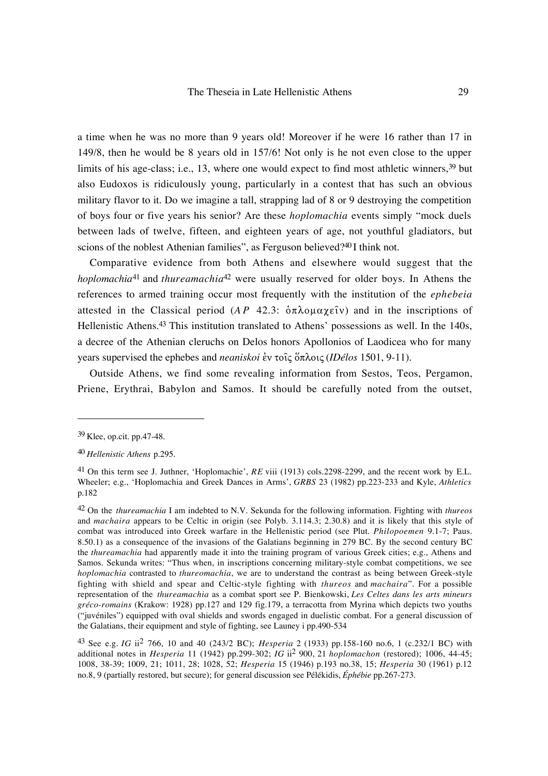a time when he was no more than 9 years old! Moreover if he were 16 rather than 17 in 149/8, then he would be 8 years old in 157/6! Not only is he not even close to the upper limits of his age-class; i.e., 13, where one would expect to find most athletic winners,<sup>39</sup> but also Eudoxos is ridiculously young, particularly in a contest that has such an obvious military flavor to it. Do we imagine a tall, strapping lad of 8 or 9 destroying the competition of boys four or five years his senior? Are these *hoplomachia* events simply "mock duels between lads of twelve, fifteen, and eighteen years of age, not youthful gladiators, but scions of the noblest Athenian families", as Ferguson believed?40 I think not.

Comparative evidence from both Athens and elsewhere would suggest that the *hoplomachia*<sup>41</sup> and *thureamachia*<sup>42</sup> were usually reserved for older boys. In Athens the references to armed training occur most frequently with the institution of the *ephebeia* attested in the Classical period ( $AP$  42.3:  $\delta \pi \lambda o \mu \alpha \chi \epsilon \hat{\imath} v$ ) and in the inscriptions of Hellenistic Athens.<sup>43</sup> This institution translated to Athens' possessions as well. In the 140s, a decree of the Athenian cleruchs on Delos honors Apollonios of Laodicea who for many years supervised the ephebes and *neaniskoi* έν τοις ὅπλοις (*IDélos* 1501, 9-11).

Outside Athens, we find some revealing information from Sestos, Teos, Pergamon, Priene, Erythrai, Babylon and Samos. It should be carefully noted from the outset,

<sup>39</sup> Klee, op.cit. pp.47-48.

<sup>40</sup> *Hellenistic Athens* p.295.

<sup>41</sup> On this term see J. Juthner, 'Hoplomachie', *RE* viii (1913) cols.2298-2299, and the recent work by E.L. Wheeler; e.g., 'Hoplomachia and Greek Dances in Arms', *GRBS* 23 (1982) pp.223-233 and Kyle, *Athletics* p.182

<sup>42</sup> On the *thureamachia* I am indebted to N.V. Sekunda for the following information. Fighting with *thureos* and *machaira* appears to be Celtic in origin (see Polyb. 3.114.3; 2.30.8) and it is likely that this style of combat was introduced into Greek warfare in the Hellenistic period (see Plut. *Philopoemen* 9.1-7; Paus. 8.50.1) as a consequence of the invasions of the Galatians beginning in 279 BC. By the second century BC the *thureamachia* had apparently made it into the training program of various Greek cities; e.g., Athens and Samos. Sekunda writes: "Thus when, in inscriptions concerning military-style combat competitions, we see *hoplomachia* contrasted to *thureomachia*, we are to understand the contrast as being between Greek-style fighting with shield and spear and Celtic-style fighting with *thureos* and *machaira*". For a possible representation of the *thureamachia* as a combat sport see P. Bienkowski, *Les Celtes dans les arts mineurs gréco-romains* (Krakow: 1928) pp.127 and 129 fig.179, a terracotta from Myrina which depicts two youths ("juvéniles") equipped with oval shields and swords engaged in duelistic combat. For a general discussion of the Galatians, their equipment and style of fighting, see Launey i pp.490-534

<sup>43</sup> See e.g. *IG* ii2 766, 10 and 40 (243/2 BC); *Hesperia* 2 (1933) pp.158-160 no.6, 1 (c.232/1 BC) with additional notes in *Hesperia* 11 (1942) pp.299-302; *IG* ii2 900, 21 *hoplomachon* (restored); 1006, 44-45; 1008, 38-39; 1009, 21; 1011, 28; 1028, 52; *Hesperia* 15 (1946) p.193 no.38, 15; *Hesperia* 30 (1961) p.12 no.8, 9 (partially restored, but secure); for general discussion see Pélékidis, *Éphébie* pp.267-273.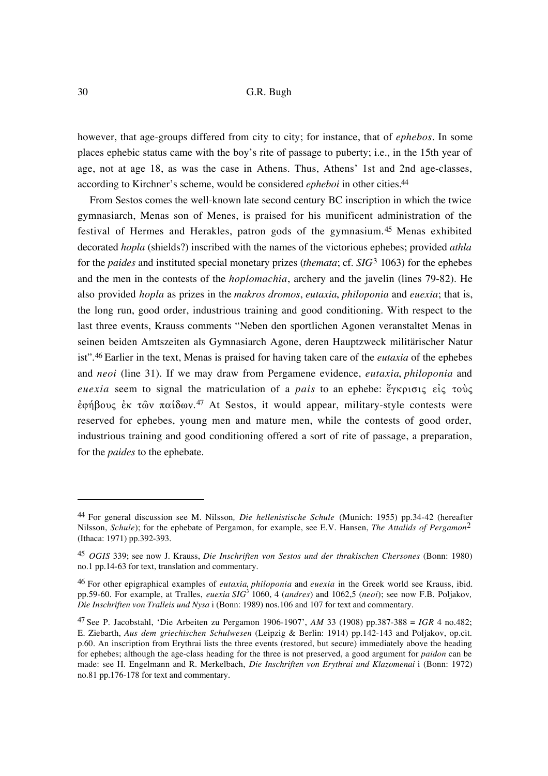however, that age-groups differed from city to city; for instance, that of *ephebos*. In some places ephebic status came with the boy's rite of passage to puberty; i.e., in the 15th year of age, not at age 18, as was the case in Athens. Thus, Athens' 1st and 2nd age-classes, according to Kirchner's scheme, would be considered *epheboi* in other cities.44

From Sestos comes the well-known late second century BC inscription in which the twice gymnasiarch, Menas son of Menes, is praised for his munificent administration of the festival of Hermes and Herakles, patron gods of the gymnasium.45 Menas exhibited decorated *hopla* (shields?) inscribed with the names of the victorious ephebes; provided *athla* for the *paides* and instituted special monetary prizes (*themata*; cf. *SIG*3 1063) for the ephebes and the men in the contests of the *hoplomachia*, archery and the javelin (lines 79-82). He also provided *hopla* as prizes in the *makros dromos*, *eutaxia*, *philoponia* and *euexia*; that is, the long run, good order, industrious training and good conditioning. With respect to the last three events, Krauss comments "Neben den sportlichen Agonen veranstaltet Menas in seinen beiden Amtszeiten als Gymnasiarch Agone, deren Hauptzweck militärischer Natur ist".46 Earlier in the text, Menas is praised for having taken care of the *eutaxia* of the ephebes and *neoi* (line 31). If we may draw from Pergamene evidence, *eutaxia*, *philoponia* and *euexia* seem to signal the matriculation of a *pais* to an ephebe:  $\ddot{\epsilon}$ *ykpione*  $\epsilon$ *ic*  $\tau$ ove έφήβους έκ τῶν παίδων.<sup>47</sup> At Sestos, it would appear, military-style contests were reserved for ephebes, young men and mature men, while the contests of good order, industrious training and good conditioning offered a sort of rite of passage, a preparation, for the *paides* to the ephebate.

<sup>44</sup> For general discussion see M. Nilsson*, Die hellenistische Schule* (Munich: 1955) pp.34-42 (hereafter Nilsson, *Schule*); for the ephebate of Pergamon, for example, see E.V. Hansen, *The Attalids of Pergamon*2 (Ithaca: 1971) pp.392-393.

<sup>45</sup> *OGIS* 339; see now J. Krauss, *Die Inschriften von Sestos und der thrakischen Chersones* (Bonn: 1980) no.1 pp.14-63 for text, translation and commentary.

<sup>46</sup> For other epigraphical examples of *eutaxia*, *philoponia* and *euexia* in the Greek world see Krauss, ibid. pp.59-60. For example, at Tralles, *euexia SIG*3 1060, 4 (*andres*) and 1062,5 (*neoi*); see now F.B. Poljakov*, Die Inschriften von Tralleis und Nysa* i (Bonn: 1989) nos.106 and 107 for text and commentary.

<sup>47</sup> See P. Jacobstahl, 'Die Arbeiten zu Pergamon 1906-1907', *AM* 33 (1908) pp.387-388 = *IGR* 4 no.482; E. Ziebarth, *Aus dem griechischen Schulwesen* (Leipzig & Berlin: 1914) pp.142-143 and Poljakov, op.cit. p.60. An inscription from Erythrai lists the three events (restored, but secure) immediately above the heading for ephebes; although the age-class heading for the three is not preserved, a good argument for *paidon* can be made: see H. Engelmann and R. Merkelbach, *Die Inschriften von Erythrai und Klazomenai* i (Bonn: 1972) no.81 pp.176-178 for text and commentary.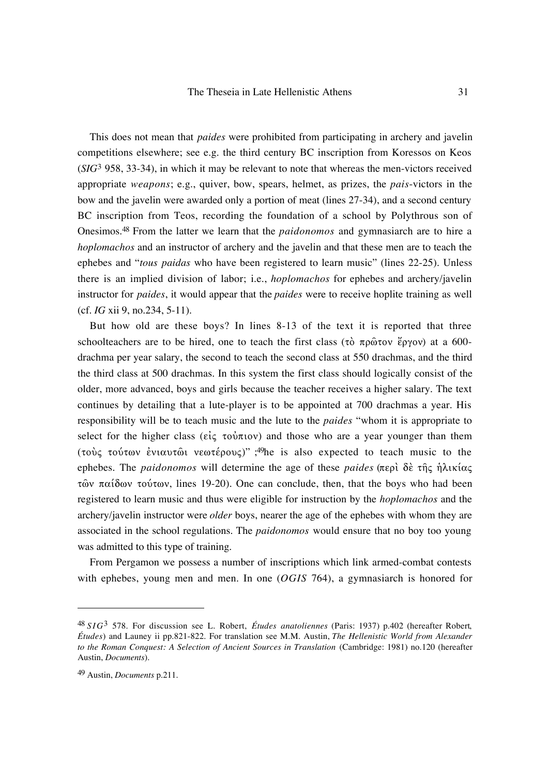This does not mean that *paides* were prohibited from participating in archery and javelin competitions elsewhere; see e.g. the third century BC inscription from Koressos on Keos (*SIG*3 958, 33-34), in which it may be relevant to note that whereas the men-victors received appropriate *weapons*; e.g., quiver, bow, spears, helmet, as prizes, the *pais*-victors in the bow and the javelin were awarded only a portion of meat (lines 27-34), and a second century BC inscription from Teos, recording the foundation of a school by Polythrous son of Onesimos.48 From the latter we learn that the *paidonomos* and gymnasiarch are to hire a *hoplomachos* and an instructor of archery and the javelin and that these men are to teach the ephebes and "*tous paidas* who have been registered to learn music" (lines 22-25). Unless there is an implied division of labor; i.e., *hoplomachos* for ephebes and archery/javelin instructor for *paides*, it would appear that the *paides* were to receive hoplite training as well (cf. *IG* xii 9, no.234, 5-11).

But how old are these boys? In lines 8-13 of the text it is reported that three schoolteachers are to be hired, one to teach the first class (τὸ πρῶτον ἔργον) at a 600drachma per year salary, the second to teach the second class at 550 drachmas, and the third the third class at 500 drachmas. In this system the first class should logically consist of the older, more advanced, boys and girls because the teacher receives a higher salary. The text continues by detailing that a lute-player is to be appointed at 700 drachmas a year. His responsibility will be to teach music and the lute to the *paides* "whom it is appropriate to select for the higher class ( $\epsilon i \zeta \tau \tilde{\nu} \pi \tilde{\nu}$ ) and those who are a year younger than them (τούς τούτων ένιαυτώι νεωτέρους)" ;<sup>49</sup>he is also expected to teach music to the ephebes. The *paidonomos* will determine the age of these *paides* (περὶ δὲ τῆς ἡλικίας τῶν παίδων τούτων, lines 19-20). One can conclude, then, that the boys who had been registered to learn music and thus were eligible for instruction by the *hoplomachos* and the archery/javelin instructor were *older* boys, nearer the age of the ephebes with whom they are associated in the school regulations. The *paidonomos* would ensure that no boy too young was admitted to this type of training.

From Pergamon we possess a number of inscriptions which link armed-combat contests with ephebes, young men and men. In one (*OGIS* 764), a gymnasiarch is honored for

<sup>48</sup> *SIG*3 578. For discussion see L. Robert, *Études anatoliennes* (Paris: 1937) p.402 (hereafter Robert, *Études*) and Launey ii pp.821-822. For translation see M.M. Austin, *The Hellenistic World from Alexander to the Roman Conquest: A Selection of Ancient Sources in Translation* (Cambridge: 1981) no.120 (hereafter Austin, *Documents*).

<sup>49</sup> Austin, *Documents* p.211.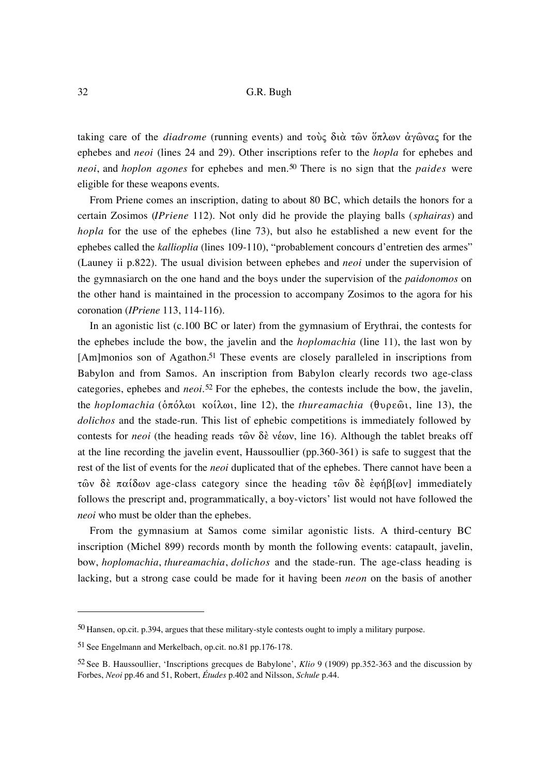taking care of the *diadrome* (running events) and τούς διὰ τῶν ὅπλων ἀγῶνας for the ephebes and *neoi* (lines 24 and 29). Other inscriptions refer to the *hopla* for ephebes and *neoi*, and *hoplon agones* for ephebes and men.50 There is no sign that the *paides* were eligible for these weapons events.

From Priene comes an inscription, dating to about 80 BC, which details the honors for a certain Zosimos (*IPriene* 112). Not only did he provide the playing balls (*sphairas*) and *hopla* for the use of the ephebes (line 73), but also he established a new event for the ephebes called the *kallioplia* (lines 109-110), "probablement concours d'entretien des armes" (Launey ii p.822). The usual division between ephebes and *neoi* under the supervision of the gymnasiarch on the one hand and the boys under the supervision of the *paidonomos* on the other hand is maintained in the procession to accompany Zosimos to the agora for his coronation (*IPriene* 113, 114-116).

In an agonistic list (c.100 BC or later) from the gymnasium of Erythrai, the contests for the ephebes include the bow, the javelin and the *hoplomachia* (line 11), the last won by [Am]monios son of Agathon.<sup>51</sup> These events are closely paralleled in inscriptions from Babylon and from Samos. An inscription from Babylon clearly records two age-class categories, ephebes and *neoi*.52 For the ephebes, the contests include the bow, the javelin, the *hoplomachia* (δπόλωι κοίλωι, line 12), the *thureamachia* (θυρεῶι, line 13), the *dolichos* and the stade-run. This list of ephebic competitions is immediately followed by contests for *neoi* (the heading reads  $\tau$   $\omega$   $\delta$   $\epsilon$   $\psi$   $\omega$ , line 16). Although the tablet breaks off at the line recording the javelin event, Haussoullier (pp.360-361) is safe to suggest that the rest of the list of events for the *neoi* duplicated that of the ephebes. There cannot have been a  $\tau$ ών δέ παίδων age-class category since the heading  $\tau$ ών δέ έφήβ[ων] immediately follows the prescript and, programmatically, a boy-victors' list would not have followed the *neoi* who must be older than the ephebes.

From the gymnasium at Samos come similar agonistic lists. A third-century BC inscription (Michel 899) records month by month the following events: catapault, javelin, bow, *hoplomachia*, *thureamachia*, *dolichos* and the stade-run. The age-class heading is lacking, but a strong case could be made for it having been *neon* on the basis of another

<sup>50</sup> Hansen, op.cit. p.394, argues that these military-style contests ought to imply a military purpose.

<sup>51</sup> See Engelmann and Merkelbach, op.cit. no.81 pp.176-178.

<sup>52</sup> See B. Haussoullier, 'Inscriptions grecques de Babylone', *Klio* 9 (1909) pp.352-363 and the discussion by Forbes, *Neoi* pp.46 and 51, Robert, *Études* p.402 and Nilsson, *Schule* p.44.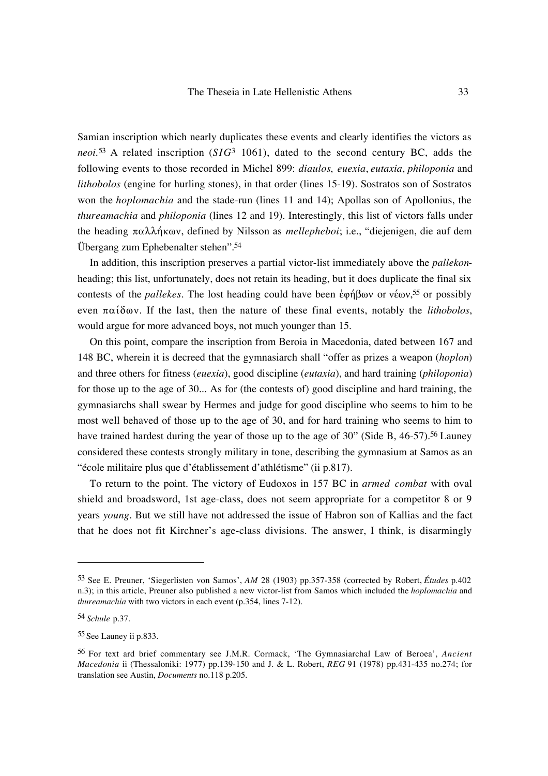Samian inscription which nearly duplicates these events and clearly identifies the victors as *neoi*.53 A related inscription (*SIG*3 1061), dated to the second century BC, adds the following events to those recorded in Michel 899: *diaulos*, *euexia*, *eutaxia*, *philoponia* and *lithobolos* (engine for hurling stones), in that order (lines 15-19). Sostratos son of Sostratos won the *hoplomachia* and the stade-run (lines 11 and 14); Apollas son of Apollonius, the *thureamachia* and *philoponia* (lines 12 and 19). Interestingly, this list of victors falls under the heading  $\pi \alpha \lambda \lambda \eta \kappa \omega v$ , defined by Nilsson as *mellepheboi*; i.e., "diejenigen, die auf dem Übergang zum Ephebenalter stehen".54

In addition, this inscription preserves a partial victor-list immediately above the *pallekon*heading; this list, unfortunately, does not retain its heading, but it does duplicate the final six contests of the *pallekes*. The lost heading could have been εφήβων or νέων,<sup>55</sup> or possibly even  $\pi\alpha\hat{i}\delta\omega v$ . If the last, then the nature of these final events, notably the *lithobolos*, would argue for more advanced boys, not much younger than 15.

On this point, compare the inscription from Beroia in Macedonia, dated between 167 and 148 BC, wherein it is decreed that the gymnasiarch shall "offer as prizes a weapon (*hoplon*) and three others for fitness (*euexia*), good discipline (*eutaxia*), and hard training (*philoponia*) for those up to the age of 30... As for (the contests of) good discipline and hard training, the gymnasiarchs shall swear by Hermes and judge for good discipline who seems to him to be most well behaved of those up to the age of 30, and for hard training who seems to him to have trained hardest during the year of those up to the age of 30" (Side B, 46-57).<sup>56</sup> Launey considered these contests strongly military in tone, describing the gymnasium at Samos as an "école militaire plus que d'établissement d'athlétisme" (ii p.817).

To return to the point. The victory of Eudoxos in 157 BC in *armed combat* with oval shield and broadsword, 1st age-class, does not seem appropriate for a competitor 8 or 9 years *young*. But we still have not addressed the issue of Habron son of Kallias and the fact that he does not fit Kirchner's age-class divisions. The answer, I think, is disarmingly

<sup>53</sup> See E. Preuner, 'Siegerlisten von Samos', *AM* 28 (1903) pp.357-358 (corrected by Robert, *Études* p.402 n.3); in this article, Preuner also published a new victor-list from Samos which included the *hoplomachia* and *thureamachia* with two victors in each event (p.354, lines 7-12).

<sup>54</sup> *Schule* p.37.

<sup>55</sup> See Launey ii p.833.

<sup>56</sup> For text ard brief commentary see J.M.R. Cormack, 'The Gymnasiarchal Law of Beroea', *Ancient Macedonia* ii (Thessaloniki: 1977) pp.139-150 and J. & L. Robert, *REG* 91 (1978) pp.431-435 no.274; for translation see Austin, *Documents* no.118 p.205.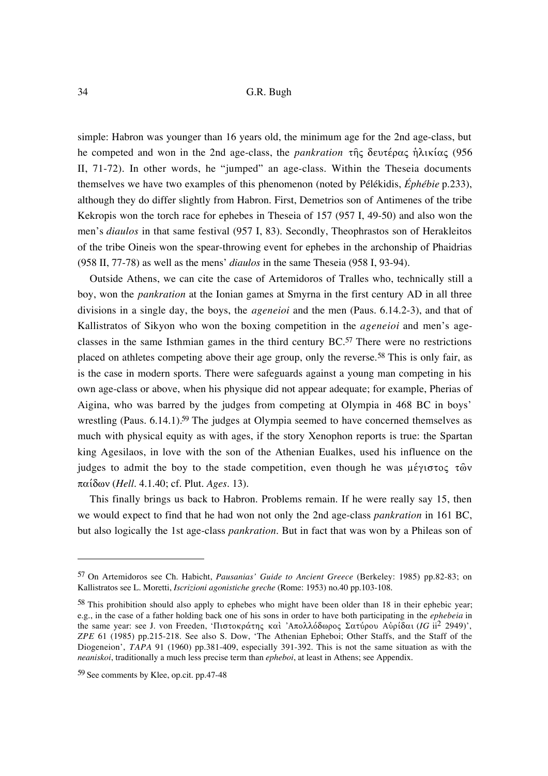simple: Habron was younger than 16 years old, the minimum age for the 2nd age-class, but he competed and won in the 2nd age-class, the *pankration* της δευτέρας ηλικίας (956 II, 71-72). In other words, he "jumped" an age-class. Within the Theseia documents themselves we have two examples of this phenomenon (noted by Pélékidis, *Éphébie* p.233), although they do differ slightly from Habron. First, Demetrios son of Antimenes of the tribe Kekropis won the torch race for ephebes in Theseia of 157 (957 I, 49-50) and also won the men's *diaulos* in that same festival (957 I, 83). Secondly, Theophrastos son of Herakleitos of the tribe Oineis won the spear-throwing event for ephebes in the archonship of Phaidrias (958 II, 77-78) as well as the mens' *diaulos* in the same Theseia (958 I, 93-94).

Outside Athens, we can cite the case of Artemidoros of Tralles who, technically still a boy, won the *pankration* at the Ionian games at Smyrna in the first century AD in all three divisions in a single day, the boys, the *ageneioi* and the men (Paus. 6.14.2-3), and that of Kallistratos of Sikyon who won the boxing competition in the *ageneioi* and men's ageclasses in the same Isthmian games in the third century BC.57 There were no restrictions placed on athletes competing above their age group, only the reverse.<sup>58</sup> This is only fair, as is the case in modern sports. There were safeguards against a young man competing in his own age-class or above, when his physique did not appear adequate; for example, Pherias of Aigina, who was barred by the judges from competing at Olympia in 468 BC in boys' wrestling (Paus. 6.14.1).<sup>59</sup> The judges at Olympia seemed to have concerned themselves as much with physical equity as with ages, if the story Xenophon reports is true: the Spartan king Agesilaos, in love with the son of the Athenian Eualkes, used his influence on the judges to admit the boy to the stade competition, even though he was  $\mu \acute{\epsilon} \gamma \nu \sigma \tau o \varsigma \tau \hat{\omega} \nu$  $\pi\alpha\hat{i}\delta\omega v$  (*Hell.* 4.1.40; cf. Plut. *Ages.* 13).

This finally brings us back to Habron. Problems remain. If he were really say 15, then we would expect to find that he had won not only the 2nd age-class *pankration* in 161 BC, but also logically the 1st age-class *pankration*. But in fact that was won by a Phileas son of

<sup>57</sup> On Artemidoros see Ch. Habicht, *Pausanias' Guide to Ancient Greece* (Berkeley: 1985) pp.82-83; on Kallistratos see L. Moretti, *Iscrizioni agonistiche greche* (Rome: 1953) no.40 pp.103-108.

<sup>58</sup> This prohibition should also apply to ephebes who might have been older than 18 in their ephebic year; e.g., in the case of a father holding back one of his sons in order to have both participating in the *ephebeia* in the same year: see J. von Freeden, 'Πιστοκράτης καὶ 'Απολλόδωρος Σατύρου Αὐρίδαι (*IG* ii<sup>2</sup> 2949)', *ZPE* 61 (1985) pp.215-218. See also S. Dow, 'The Athenian Epheboi; Other Staffs, and the Staff of the Diogeneion', *TAPA* 91 (1960) pp.381-409, especially 391-392. This is not the same situation as with the *neaniskoi*, traditionally a much less precise term than *epheboi*, at least in Athens; see Appendix.

<sup>59</sup> See comments by Klee, op.cit. pp.47-48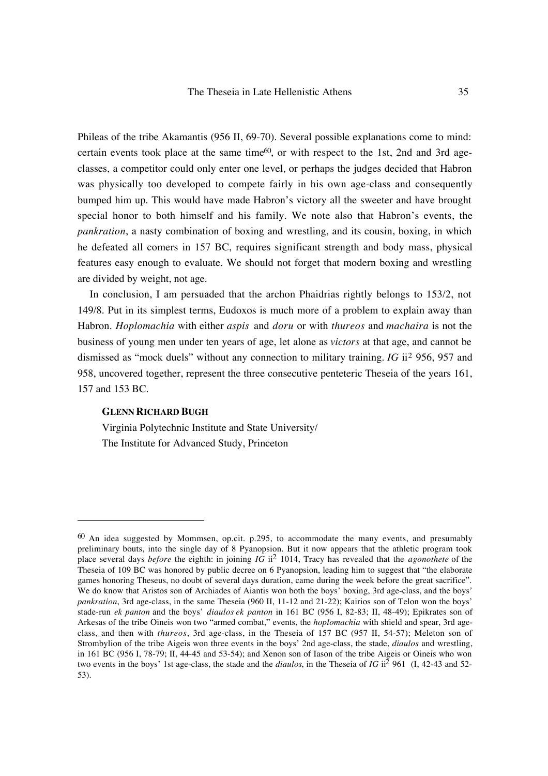Phileas of the tribe Akamantis (956 II, 69-70). Several possible explanations come to mind: certain events took place at the same time<sup>60</sup>, or with respect to the 1st, 2nd and 3rd ageclasses, a competitor could only enter one level, or perhaps the judges decided that Habron was physically too developed to compete fairly in his own age-class and consequently bumped him up. This would have made Habron's victory all the sweeter and have brought special honor to both himself and his family. We note also that Habron's events, the *pankration*, a nasty combination of boxing and wrestling, and its cousin, boxing, in which he defeated all comers in 157 BC, requires significant strength and body mass, physical features easy enough to evaluate. We should not forget that modern boxing and wrestling are divided by weight, not age.

In conclusion, I am persuaded that the archon Phaidrias rightly belongs to 153/2, not 149/8. Put in its simplest terms, Eudoxos is much more of a problem to explain away than Habron. *Hoplomachia* with either *aspis* and *doru* or with *thureos* and *machaira* is not the business of young men under ten years of age, let alone as *victors* at that age, and cannot be dismissed as "mock duels" without any connection to military training. *IG* ii2 956, 957 and 958, uncovered together, represent the three consecutive penteteric Theseia of the years 161, 157 and 153 BC.

### **GLENN RICHARD BUGH**

 $\overline{a}$ 

Virginia Polytechnic Institute and State University/ The Institute for Advanced Study, Princeton

 $60$  An idea suggested by Mommsen, op.cit. p.295, to accommodate the many events, and presumably preliminary bouts, into the single day of 8 Pyanopsion. But it now appears that the athletic program took place several days *before* the eighth: in joining *IG* ii2 1014, Tracy has revealed that the *agonothete* of the Theseia of 109 BC was honored by public decree on 6 Pyanopsion, leading him to suggest that "the elaborate games honoring Theseus, no doubt of several days duration, came during the week before the great sacrifice". We do know that Aristos son of Archiades of Aiantis won both the boys' boxing, 3rd age-class, and the boys' *pankration*, 3rd age-class, in the same Theseia (960 II, 11-12 and 21-22); Kairios son of Telon won the boys' stade-run *ek panton* and the boys' *diaulos ek panton* in 161 BC (956 I, 82-83; II, 48-49); Epikrates son of Arkesas of the tribe Oineis won two "armed combat," events, the *hoplomachia* with shield and spear, 3rd ageclass, and then with *thureos*, 3rd age-class, in the Theseia of 157 BC (957 II, 54-57); Meleton son of Strombylion of the tribe Aigeis won three events in the boys' 2nd age-class, the stade, *diaulos* and wrestling, in 161 BC (956 I, 78-79; II, 44-45 and 53-54); and Xenon son of Iason of the tribe Aigeis or Oineis who won two events in the boys' 1st age-class, the stade and the *diaulos*, in the Theseia of *IG* ii<sup>2</sup> 961 (I, 42-43 and 52-53).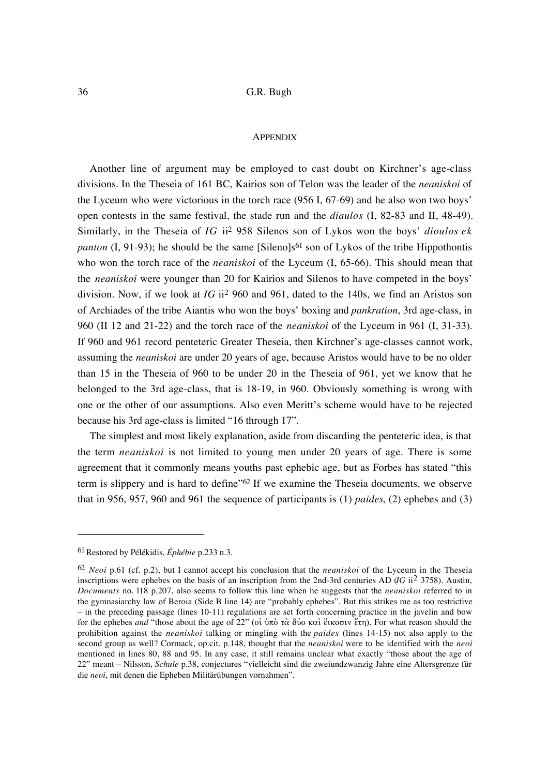#### **APPENDIX**

Another line of argument may be employed to cast doubt on Kirchner's age-class divisions. In the Theseia of 161 BC, Kairios son of Telon was the leader of the *neaniskoi* of the Lyceum who were victorious in the torch race (956 I, 67-69) and he also won two boys' open contests in the same festival, the stade run and the *diaulos* (I, 82-83 and II, 48-49). Similarly, in the Theseia of *IG* ii2 958 Silenos son of Lykos won the boys' *dioulos ek panton*  $(I, 91-93)$ ; he should be the same [Sileno]s<sup>61</sup> son of Lykos of the tribe Hippothontis who won the torch race of the *neaniskoi* of the Lyceum (I, 65-66). This should mean that the *neaniskoi* were younger than 20 for Kairios and Silenos to have competed in the boys' division. Now, if we look at *IG* ii2 960 and 961, dated to the 140s, we find an Aristos son of Archiades of the tribe Aiantis who won the boys' boxing and *pankration*, 3rd age-class, in 960 (II 12 and 21-22) and the torch race of the *neaniskoi* of the Lyceum in 961 (I, 31-33). If 960 and 961 record penteteric Greater Theseia, then Kirchner's age-classes cannot work, assuming the *neaniskoi* are under 20 years of age, because Aristos would have to be no older than 15 in the Theseia of 960 to be under 20 in the Theseia of 961, yet we know that he belonged to the 3rd age-class, that is 18-19, in 960. Obviously something is wrong with one or the other of our assumptions. Also even Meritt's scheme would have to be rejected because his 3rd age-class is limited "16 through 17".

The simplest and most likely explanation, aside from discarding the penteteric idea, is that the term *neaniskoi* is not limited to young men under 20 years of age. There is some agreement that it commonly means youths past ephebic age, but as Forbes has stated "this term is slippery and is hard to define"62 If we examine the Theseia documents, we observe that in 956, 957, 960 and 961 the sequence of participants is (1) *paides*, (2) ephebes and (3)

<sup>61</sup>Restored by Pélékidis, *Éphébie* p.233 n.3.

<sup>62</sup> *Neoi* p.61 (cf. p.2), but I cannot accept his conclusion that the *neaniskoi* of the Lyceum in the Theseia inscriptions were ephebes on the basis of an inscription from the 2nd-3rd centuries AD (*IG* ii<sup>2</sup> 3758). Austin, *Documents* no. l18 p.207, also seems to follow this line when he suggests that the *neaniskoi* referred to in the gymnasiarchy law of Beroia (Side B line 14) are "probably ephebes". But this strikes me as too restrictive – in the preceding passage (lines 10-11) regulations are set forth concerning practice in the javelin and bow for the ephebes *and* "those about the age of 22" (oi ὑπὸ τὰ δύο καὶ ἔικοσιν ἔτη). For what reason should the prohibition against the *neaniskoi* talking or mingling with the *paides* (lines 14-15) not also apply to the second group as well? Cormack, op.cit. p.148, thought that the *neaniskoi* were to be identified with the *neoi* mentioned in lines 80, 88 and 95. In any case, it still remains unclear what exactly "those about the age of 22" meant – Nilsson, *Schule* p.38, conjectures "vielleicht sind die zweiundzwanzig Jahre eine Altersgrenze für die *neoi*, mit denen die Epheben Militärübungen vornahmen".